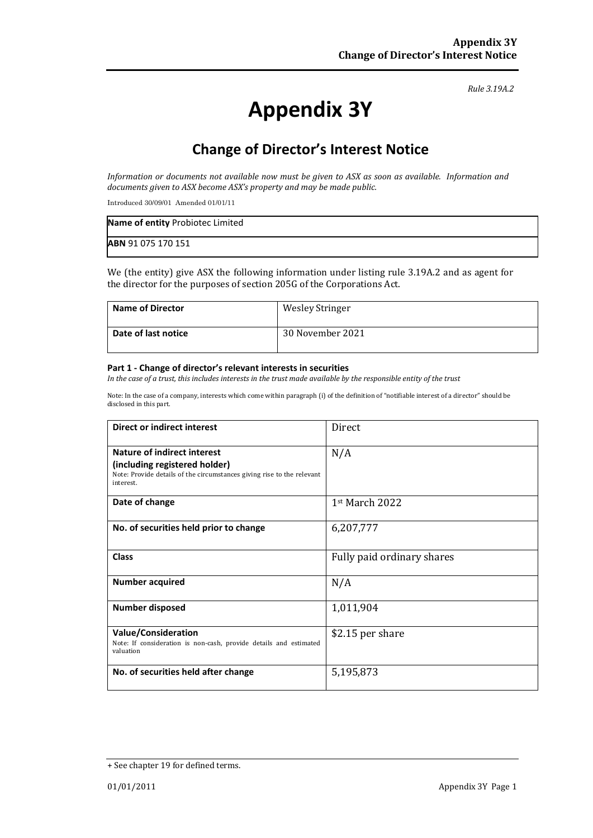*Rule 3.19A.2*

# **Appendix 3Y**

## **Change of Director's Interest Notice**

*Information or documents not available now must be given to ASX as soon as available. Information and documents given to ASX become ASX's property and may be made public.*

Introduced 30/09/01 Amended 01/01/11

| Name of entity Probiotec Limited |  |
|----------------------------------|--|
| ABN 91 075 170 151               |  |

We (the entity) give ASX the following information under listing rule 3.19A.2 and as agent for the director for the purposes of section 205G of the Corporations Act.

| Name of Director    | <b>Wesley Stringer</b> |
|---------------------|------------------------|
| Date of last notice | 30 November 2021       |

#### **Part 1 - Change of director's relevant interests in securities**

*In the case of a trust, this includes interests in the trust made available by the responsible entity of the trust*

Note: In the case of a company, interests which come within paragraph (i) of the definition of "notifiable interest of a director" should be disclosed in this part.

| Direct or indirect interest                                                                                                                                | Direct                     |
|------------------------------------------------------------------------------------------------------------------------------------------------------------|----------------------------|
| <b>Nature of indirect interest</b><br>(including registered holder)<br>Note: Provide details of the circumstances giving rise to the relevant<br>interest. | N/A                        |
| Date of change                                                                                                                                             | $1st$ March 2022           |
| No. of securities held prior to change                                                                                                                     | 6,207,777                  |
| <b>Class</b>                                                                                                                                               | Fully paid ordinary shares |
| <b>Number acquired</b>                                                                                                                                     | N/A                        |
| <b>Number disposed</b>                                                                                                                                     | 1,011,904                  |
| <b>Value/Consideration</b><br>Note: If consideration is non-cash, provide details and estimated<br>valuation                                               | \$2.15 per share           |
| No. of securities held after change                                                                                                                        | 5,195,873                  |

<sup>+</sup> See chapter 19 for defined terms.